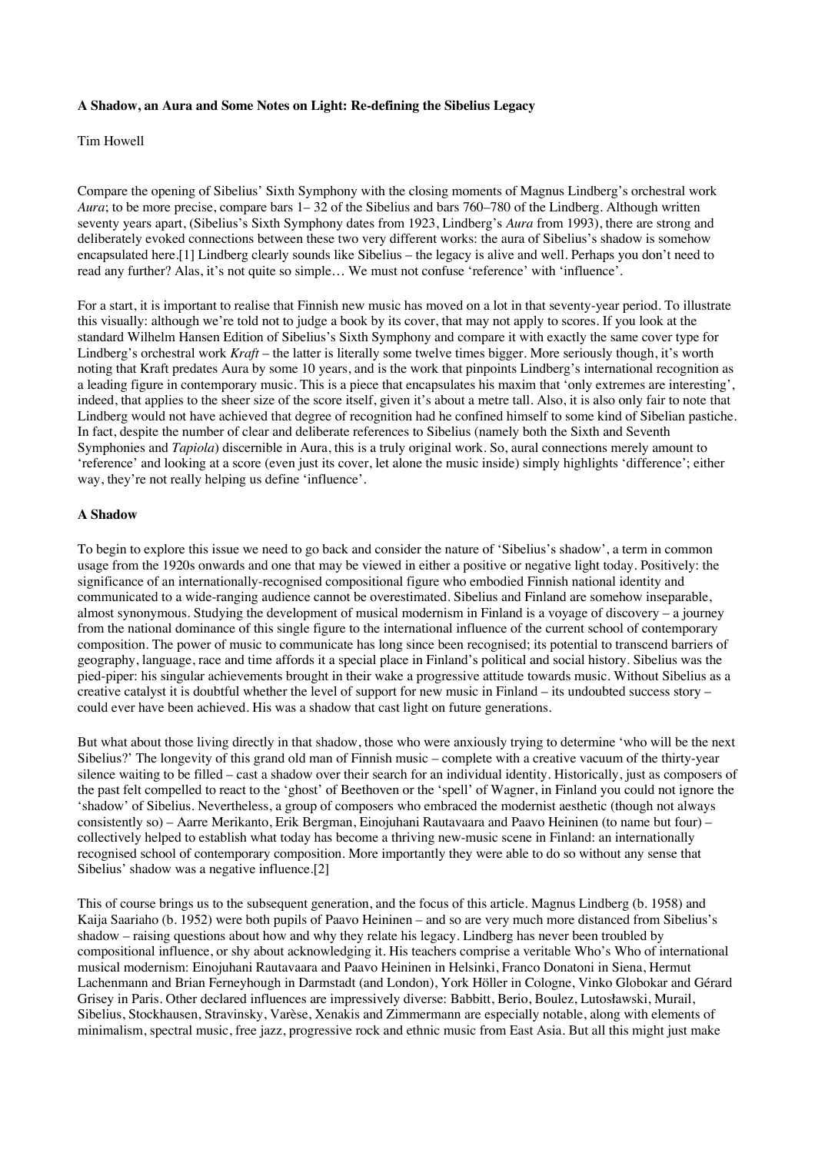## **A Shadow, an Aura and Some Notes on Light: Re-defining the Sibelius Legacy**

## Tim Howell

Compare the opening of Sibelius' Sixth Symphony with the closing moments of Magnus Lindberg's orchestral work *Aura*; to be more precise, compare bars 1– 32 of the Sibelius and bars 760–780 of the Lindberg. Although written seventy years apart, (Sibelius's Sixth Symphony dates from 1923, Lindberg's *Aura* from 1993), there are strong and deliberately evoked connections between these two very different works: the aura of Sibelius's shadow is somehow encapsulated here.[1] Lindberg clearly sounds like Sibelius – the legacy is alive and well. Perhaps you don't need to read any further? Alas, it's not quite so simple… We must not confuse 'reference' with 'influence'.

For a start, it is important to realise that Finnish new music has moved on a lot in that seventy-year period. To illustrate this visually: although we're told not to judge a book by its cover, that may not apply to scores. If you look at the standard Wilhelm Hansen Edition of Sibelius's Sixth Symphony and compare it with exactly the same cover type for Lindberg's orchestral work *Kraft* – the latter is literally some twelve times bigger. More seriously though, it's worth noting that Kraft predates Aura by some 10 years, and is the work that pinpoints Lindberg's international recognition as a leading figure in contemporary music. This is a piece that encapsulates his maxim that 'only extremes are interesting', indeed, that applies to the sheer size of the score itself, given it's about a metre tall. Also, it is also only fair to note that Lindberg would not have achieved that degree of recognition had he confined himself to some kind of Sibelian pastiche. In fact, despite the number of clear and deliberate references to Sibelius (namely both the Sixth and Seventh Symphonies and *Tapiola*) discernible in Aura, this is a truly original work. So, aural connections merely amount to 'reference' and looking at a score (even just its cover, let alone the music inside) simply highlights 'difference'; either way, they're not really helping us define 'influence'.

## **A Shadow**

To begin to explore this issue we need to go back and consider the nature of 'Sibelius's shadow', a term in common usage from the 1920s onwards and one that may be viewed in either a positive or negative light today. Positively: the significance of an internationally-recognised compositional figure who embodied Finnish national identity and communicated to a wide-ranging audience cannot be overestimated. Sibelius and Finland are somehow inseparable, almost synonymous. Studying the development of musical modernism in Finland is a voyage of discovery – a journey from the national dominance of this single figure to the international influence of the current school of contemporary composition. The power of music to communicate has long since been recognised; its potential to transcend barriers of geography, language, race and time affords it a special place in Finland's political and social history. Sibelius was the pied-piper: his singular achievements brought in their wake a progressive attitude towards music. Without Sibelius as a creative catalyst it is doubtful whether the level of support for new music in Finland – its undoubted success story – could ever have been achieved. His was a shadow that cast light on future generations.

But what about those living directly in that shadow, those who were anxiously trying to determine 'who will be the next Sibelius?' The longevity of this grand old man of Finnish music – complete with a creative vacuum of the thirty-year silence waiting to be filled – cast a shadow over their search for an individual identity. Historically, just as composers of the past felt compelled to react to the 'ghost' of Beethoven or the 'spell' of Wagner, in Finland you could not ignore the 'shadow' of Sibelius. Nevertheless, a group of composers who embraced the modernist aesthetic (though not always consistently so) – Aarre Merikanto, Erik Bergman, Einojuhani Rautavaara and Paavo Heininen (to name but four) – collectively helped to establish what today has become a thriving new-music scene in Finland: an internationally recognised school of contemporary composition. More importantly they were able to do so without any sense that Sibelius' shadow was a negative influence.[2]

This of course brings us to the subsequent generation, and the focus of this article. Magnus Lindberg (b. 1958) and Kaija Saariaho (b. 1952) were both pupils of Paavo Heininen – and so are very much more distanced from Sibelius's shadow – raising questions about how and why they relate his legacy. Lindberg has never been troubled by compositional influence, or shy about acknowledging it. His teachers comprise a veritable Who's Who of international musical modernism: Einojuhani Rautavaara and Paavo Heininen in Helsinki, Franco Donatoni in Siena, Hermut Lachenmann and Brian Ferneyhough in Darmstadt (and London), York Höller in Cologne, Vinko Globokar and Gérard Grisey in Paris. Other declared influences are impressively diverse: Babbitt, Berio, Boulez, Lutosławski, Murail, Sibelius, Stockhausen, Stravinsky, Varèse, Xenakis and Zimmermann are especially notable, along with elements of minimalism, spectral music, free jazz, progressive rock and ethnic music from East Asia. But all this might just make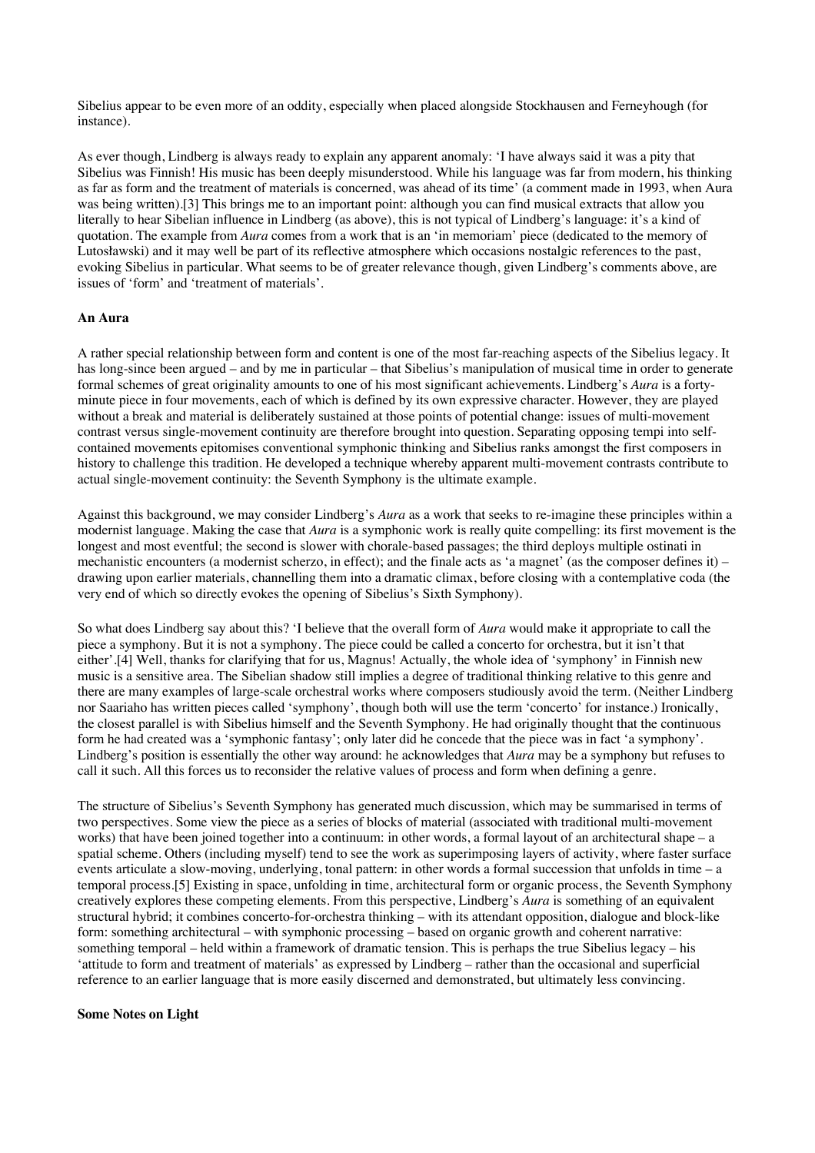Sibelius appear to be even more of an oddity, especially when placed alongside Stockhausen and Ferneyhough (for instance).

As ever though, Lindberg is always ready to explain any apparent anomaly: 'I have always said it was a pity that Sibelius was Finnish! His music has been deeply misunderstood. While his language was far from modern, his thinking as far as form and the treatment of materials is concerned, was ahead of its time' (a comment made in 1993, when Aura was being written).[3] This brings me to an important point: although you can find musical extracts that allow you literally to hear Sibelian influence in Lindberg (as above), this is not typical of Lindberg's language: it's a kind of quotation. The example from *Aura* comes from a work that is an 'in memoriam' piece (dedicated to the memory of Lutosławski) and it may well be part of its reflective atmosphere which occasions nostalgic references to the past, evoking Sibelius in particular. What seems to be of greater relevance though, given Lindberg's comments above, are issues of 'form' and 'treatment of materials'.

### **An Aura**

A rather special relationship between form and content is one of the most far-reaching aspects of the Sibelius legacy. It has long-since been argued – and by me in particular – that Sibelius's manipulation of musical time in order to generate formal schemes of great originality amounts to one of his most significant achievements. Lindberg's *Aura* is a fortyminute piece in four movements, each of which is defined by its own expressive character. However, they are played without a break and material is deliberately sustained at those points of potential change: issues of multi-movement contrast versus single-movement continuity are therefore brought into question. Separating opposing tempi into selfcontained movements epitomises conventional symphonic thinking and Sibelius ranks amongst the first composers in history to challenge this tradition. He developed a technique whereby apparent multi-movement contrasts contribute to actual single-movement continuity: the Seventh Symphony is the ultimate example.

Against this background, we may consider Lindberg's *Aura* as a work that seeks to re-imagine these principles within a modernist language. Making the case that *Aura* is a symphonic work is really quite compelling: its first movement is the longest and most eventful; the second is slower with chorale-based passages; the third deploys multiple ostinati in mechanistic encounters (a modernist scherzo, in effect); and the finale acts as 'a magnet' (as the composer defines it) – drawing upon earlier materials, channelling them into a dramatic climax, before closing with a contemplative coda (the very end of which so directly evokes the opening of Sibelius's Sixth Symphony).

So what does Lindberg say about this? 'I believe that the overall form of *Aura* would make it appropriate to call the piece a symphony. But it is not a symphony. The piece could be called a concerto for orchestra, but it isn't that either'.[4] Well, thanks for clarifying that for us, Magnus! Actually, the whole idea of 'symphony' in Finnish new music is a sensitive area. The Sibelian shadow still implies a degree of traditional thinking relative to this genre and there are many examples of large-scale orchestral works where composers studiously avoid the term. (Neither Lindberg nor Saariaho has written pieces called 'symphony', though both will use the term 'concerto' for instance.) Ironically, the closest parallel is with Sibelius himself and the Seventh Symphony. He had originally thought that the continuous form he had created was a 'symphonic fantasy'; only later did he concede that the piece was in fact 'a symphony'. Lindberg's position is essentially the other way around: he acknowledges that *Aura* may be a symphony but refuses to call it such. All this forces us to reconsider the relative values of process and form when defining a genre.

The structure of Sibelius's Seventh Symphony has generated much discussion, which may be summarised in terms of two perspectives. Some view the piece as a series of blocks of material (associated with traditional multi-movement works) that have been joined together into a continuum: in other words, a formal layout of an architectural shape – a spatial scheme. Others (including myself) tend to see the work as superimposing layers of activity, where faster surface events articulate a slow-moving, underlying, tonal pattern: in other words a formal succession that unfolds in time – a temporal process.[5] Existing in space, unfolding in time, architectural form or organic process, the Seventh Symphony creatively explores these competing elements. From this perspective, Lindberg's *Aura* is something of an equivalent structural hybrid; it combines concerto-for-orchestra thinking – with its attendant opposition, dialogue and block-like form: something architectural – with symphonic processing – based on organic growth and coherent narrative: something temporal – held within a framework of dramatic tension. This is perhaps the true Sibelius legacy – his 'attitude to form and treatment of materials' as expressed by Lindberg – rather than the occasional and superficial reference to an earlier language that is more easily discerned and demonstrated, but ultimately less convincing.

#### **Some Notes on Light**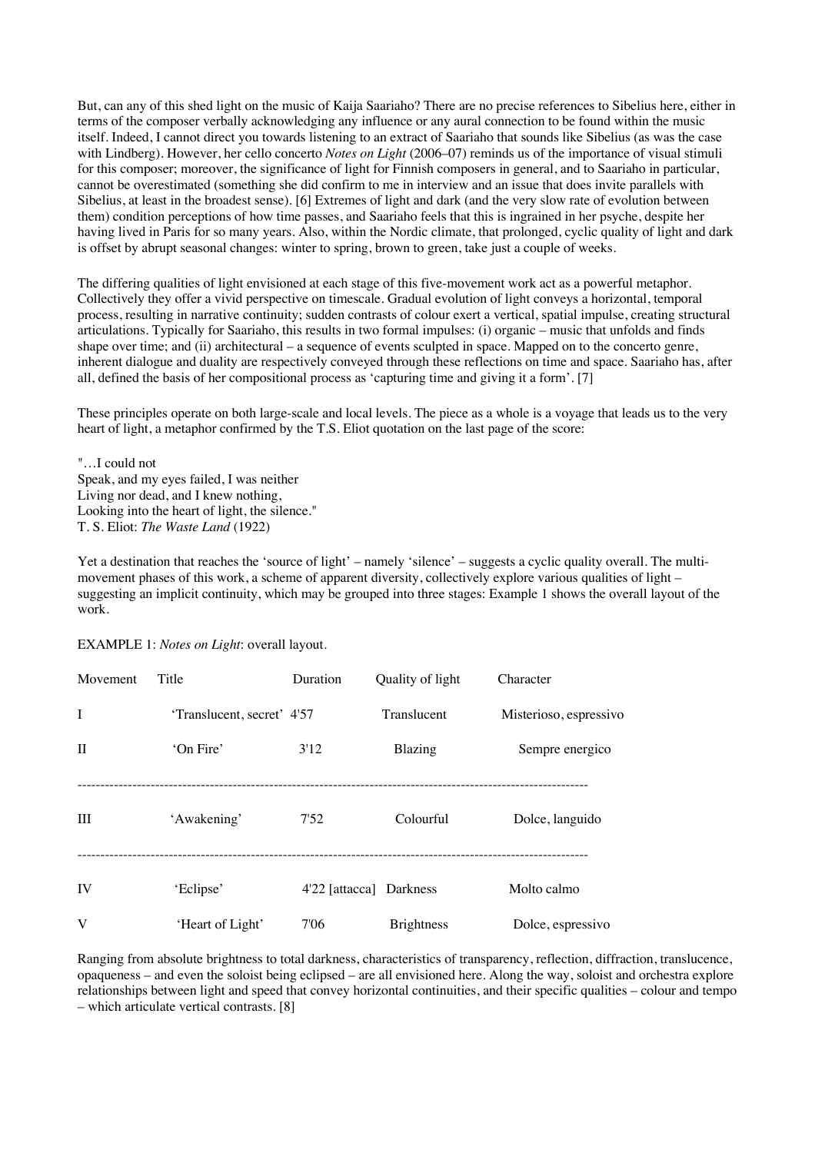But, can any of this shed light on the music of Kaija Saariaho? There are no precise references to Sibelius here, either in terms of the composer verbally acknowledging any influence or any aural connection to be found within the music itself. Indeed, I cannot direct you towards listening to an extract of Saariaho that sounds like Sibelius (as was the case with Lindberg). However, her cello concerto *Notes on Light* (2006–07) reminds us of the importance of visual stimuli for this composer; moreover, the significance of light for Finnish composers in general, and to Saariaho in particular, cannot be overestimated (something she did confirm to me in interview and an issue that does invite parallels with Sibelius, at least in the broadest sense). [6] Extremes of light and dark (and the very slow rate of evolution between them) condition perceptions of how time passes, and Saariaho feels that this is ingrained in her psyche, despite her having lived in Paris for so many years. Also, within the Nordic climate, that prolonged, cyclic quality of light and dark is offset by abrupt seasonal changes: winter to spring, brown to green, take just a couple of weeks.

The differing qualities of light envisioned at each stage of this five-movement work act as a powerful metaphor. Collectively they offer a vivid perspective on timescale. Gradual evolution of light conveys a horizontal, temporal process, resulting in narrative continuity; sudden contrasts of colour exert a vertical, spatial impulse, creating structural articulations. Typically for Saariaho, this results in two formal impulses: (i) organic – music that unfolds and finds shape over time; and (ii) architectural – a sequence of events sculpted in space. Mapped on to the concerto genre, inherent dialogue and duality are respectively conveyed through these reflections on time and space. Saariaho has, after all, defined the basis of her compositional process as 'capturing time and giving it a form'. [7]

These principles operate on both large-scale and local levels. The piece as a whole is a voyage that leads us to the very heart of light, a metaphor confirmed by the T.S. Eliot quotation on the last page of the score:

"…I could not Speak, and my eyes failed, I was neither Living nor dead, and I knew nothing, Looking into the heart of light, the silence." T. S. Eliot: *The Waste Land* (1922)

Yet a destination that reaches the 'source of light' – namely 'silence' – suggests a cyclic quality overall. The multimovement phases of this work, a scheme of apparent diversity, collectively explore various qualities of light – suggesting an implicit continuity, which may be grouped into three stages: Example 1 shows the overall layout of the work.

EXAMPLE 1: *Notes on Light*: overall layout.

| Movement | Title                      | Duration                | Quality of light  | Character              |
|----------|----------------------------|-------------------------|-------------------|------------------------|
| I        | 'Translucent, secret' 4'57 |                         | Translucent       | Misterioso, espressivo |
| Н        | 'On Fire'                  | 3'12                    | Blazing           | Sempre energico        |
| Ш        | 'Awakening'                | 7'52                    | Colourful         | Dolce, languido        |
| IV       | 'Eclipse'                  | 4'22 [attacca] Darkness |                   | Molto calmo            |
| V        | 'Heart of Light'           | 7'06                    | <b>Brightness</b> | Dolce, espressivo      |

Ranging from absolute brightness to total darkness, characteristics of transparency, reflection, diffraction, translucence, opaqueness – and even the soloist being eclipsed – are all envisioned here. Along the way, soloist and orchestra explore relationships between light and speed that convey horizontal continuities, and their specific qualities – colour and tempo – which articulate vertical contrasts. [8]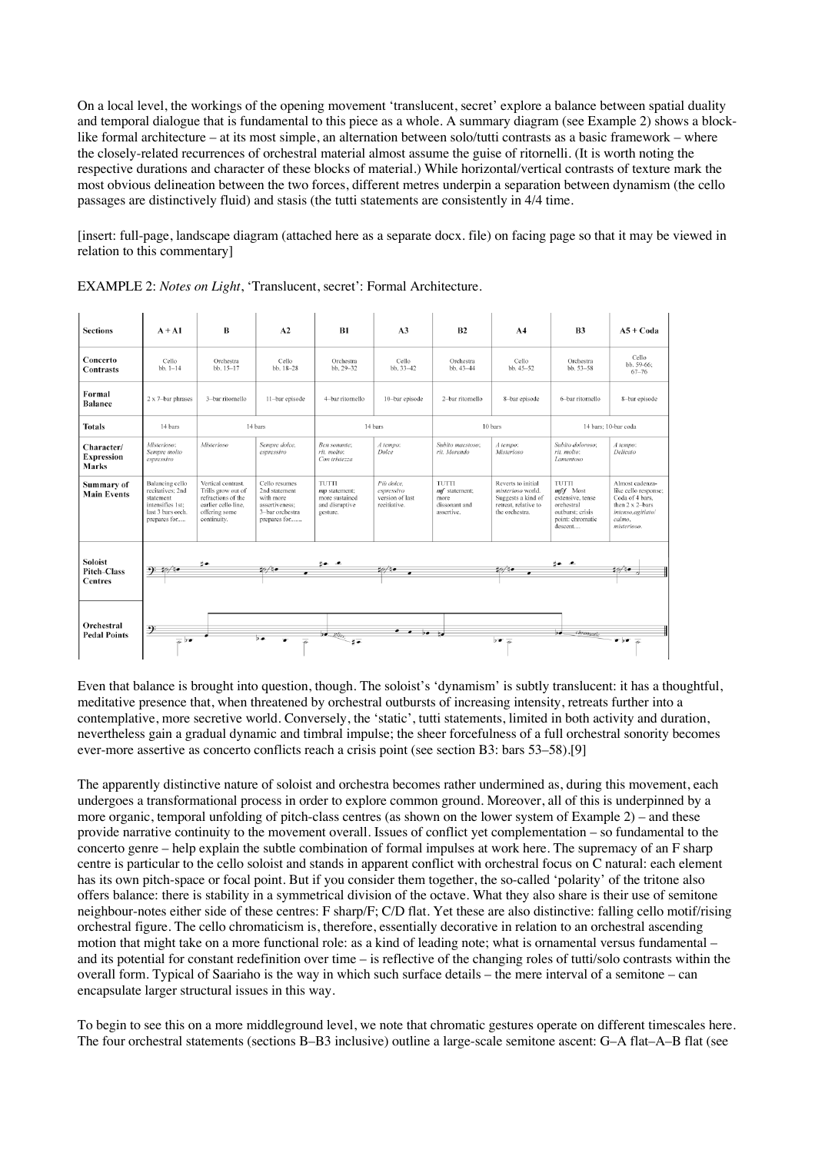On a local level, the workings of the opening movement 'translucent, secret' explore a balance between spatial duality and temporal dialogue that is fundamental to this piece as a whole. A summary diagram (see Example 2) shows a blocklike formal architecture – at its most simple, an alternation between solo/tutti contrasts as a basic framework – where the closely-related recurrences of orchestral material almost assume the guise of ritornelli. (It is worth noting the respective durations and character of these blocks of material.) While horizontal/vertical contrasts of texture mark the most obvious delineation between the two forces, different metres underpin a separation between dynamism (the cello passages are distinctively fluid) and stasis (the tutti statements are consistently in 4/4 time.

[insert: full-page, landscape diagram (attached here as a separate docx. file) on facing page so that it may be viewed in relation to this commentary]

| <b>Sections</b>                                 | $A + A1$                                                                                                  | B                                                                                                                     | A2                                                                                               | B1                                                                     | A <sub>3</sub>                                              | B2                                                            | A <sub>4</sub>                                                                                          | <b>B3</b>                                                                                                | $A5 + Coda$                                                                                                                 |
|-------------------------------------------------|-----------------------------------------------------------------------------------------------------------|-----------------------------------------------------------------------------------------------------------------------|--------------------------------------------------------------------------------------------------|------------------------------------------------------------------------|-------------------------------------------------------------|---------------------------------------------------------------|---------------------------------------------------------------------------------------------------------|----------------------------------------------------------------------------------------------------------|-----------------------------------------------------------------------------------------------------------------------------|
| Concerto<br><b>Contrasts</b>                    | Cello<br>$bb.1-14$                                                                                        | Orchestra<br>bb. 15-17                                                                                                | Cello<br>bb. 18-28                                                                               | Orchestra<br>bb. 29-32                                                 | Cello<br>bb. 33-42                                          | Orchestra<br>bb. 43-44                                        | Cello<br>$bb.45-52$                                                                                     | Orchestra<br>bb. 53-58                                                                                   | Cello<br>bb. 59-66:<br>$67 - 76$                                                                                            |
| Formal<br><b>Balance</b>                        | 2 x 7-bar phrases                                                                                         | 3-bar ritornello                                                                                                      | 11-bar episode                                                                                   | 4-bar ritornello                                                       | 10-bar episode                                              | 2-bar ritornello                                              | 8-bar episode                                                                                           | 6-bar ritornello                                                                                         | 8-bar episode                                                                                                               |
| <b>Totals</b>                                   | 14 bars                                                                                                   | 14 bars                                                                                                               |                                                                                                  | 14 bars                                                                |                                                             | 10 bars                                                       |                                                                                                         | 14 bars: 10-bar coda                                                                                     |                                                                                                                             |
| Character/<br><b>Expression</b><br><b>Marks</b> | Misterioso:<br>Sempre molto<br>espressivo                                                                 | <b>Misterioso</b>                                                                                                     | Sempre dolce.<br>espressivo                                                                      | Ben sonante:<br>rit. molto:<br>Con tristezza                           | A tempo:<br>Dolce                                           | Subito maestoso:<br>rit. Morendo                              | A tempo:<br>Misterioso                                                                                  | Subito doloroso:<br>rit. molto:<br>Lamentoso                                                             | A tempo:<br>Delicato                                                                                                        |
| Summary of<br><b>Main Events</b>                | Balancing cello<br>recitatives: 2nd<br>statement<br>intensifies 1st:<br>last 3 bars orch.<br>prepares for | Vertical contrast.<br>Trills grow out of<br>refractions of the<br>earlier cello line.<br>offering some<br>continuity. | Cello resumes<br>2nd statement<br>with more<br>assertiveness:<br>3-bar orchestra<br>prepares for | TUTTI<br>mp statement:<br>more sustained<br>and disruptive<br>gesture. | Più dolce.<br>espressivo<br>version of last<br>recitiative. | TUTTI<br>mf statement;<br>more<br>dissonant and<br>assertive. | Reverts to initial<br>misterioso world.<br>Suggests a kind of<br>retreat, relative to<br>the orchestra. | TUTTI<br>$mff$ Most<br>extensive, tense<br>orchestral<br>outburst; crisis<br>point: chromatic<br>descent | Almost cadenza-<br>like cello response;<br>Coda of 4 bars,<br>then 2 x 2-bars<br>intenso.agitiato/<br>calmo.<br>misterioso. |
| Soloist<br>Pitch-Class<br><b>Centres</b>        | 9:10                                                                                                      | 当典                                                                                                                    | 10/10                                                                                            | $3 - 1$                                                                | 20/10                                                       |                                                               | 20/10<br>$\overline{\phantom{a}}$                                                                       | je 1                                                                                                     | 20/10                                                                                                                       |
| Orchestral<br><b>Pedal Points</b>               | -9<br>$\overline{A}$ ) $\overline{\bullet}$                                                               |                                                                                                                       | $5 - 4$<br>$\overline{\bullet}$                                                                  | $D = Rli_{xy}$<br>计画                                                   | $\bullet$ $\bullet$ $\circ$ $\bullet$                       |                                                               | $50\frac{1}{10}$                                                                                        | $\overline{\phantom{a}}$<br>chromatic                                                                    | $\overline{\bullet}$ $\overline{\bullet}$ $\overline{\bullet}$                                                              |

EXAMPLE 2: *Notes on Light*, 'Translucent, secret': Formal Architecture.

Even that balance is brought into question, though. The soloist's 'dynamism' is subtly translucent: it has a thoughtful, meditative presence that, when threatened by orchestral outbursts of increasing intensity, retreats further into a contemplative, more secretive world. Conversely, the 'static', tutti statements, limited in both activity and duration, nevertheless gain a gradual dynamic and timbral impulse; the sheer forcefulness of a full orchestral sonority becomes ever-more assertive as concerto conflicts reach a crisis point (see section B3: bars 53–58).[9]

The apparently distinctive nature of soloist and orchestra becomes rather undermined as, during this movement, each undergoes a transformational process in order to explore common ground. Moreover, all of this is underpinned by a more organic, temporal unfolding of pitch-class centres (as shown on the lower system of Example 2) – and these provide narrative continuity to the movement overall. Issues of conflict yet complementation – so fundamental to the concerto genre – help explain the subtle combination of formal impulses at work here. The supremacy of an F sharp centre is particular to the cello soloist and stands in apparent conflict with orchestral focus on C natural: each element has its own pitch-space or focal point. But if you consider them together, the so-called 'polarity' of the tritone also offers balance: there is stability in a symmetrical division of the octave. What they also share is their use of semitone neighbour-notes either side of these centres: F sharp/F; C/D flat. Yet these are also distinctive: falling cello motif/rising orchestral figure. The cello chromaticism is, therefore, essentially decorative in relation to an orchestral ascending motion that might take on a more functional role: as a kind of leading note; what is ornamental versus fundamental – and its potential for constant redefinition over time – is reflective of the changing roles of tutti/solo contrasts within the overall form. Typical of Saariaho is the way in which such surface details – the mere interval of a semitone – can encapsulate larger structural issues in this way.

To begin to see this on a more middleground level, we note that chromatic gestures operate on different timescales here. The four orchestral statements (sections B–B3 inclusive) outline a large-scale semitone ascent: G–A flat–A–B flat (see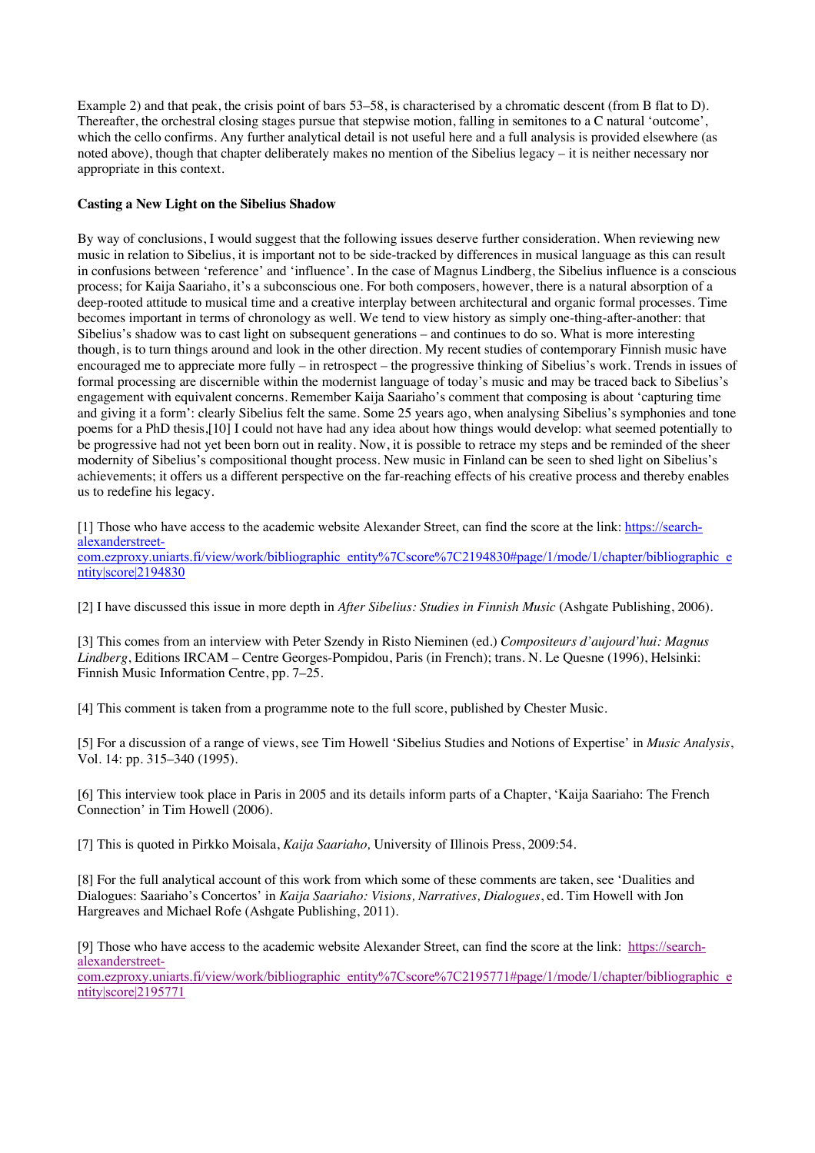Example 2) and that peak, the crisis point of bars 53–58, is characterised by a chromatic descent (from B flat to D). Thereafter, the orchestral closing stages pursue that stepwise motion, falling in semitones to a C natural 'outcome', which the cello confirms. Any further analytical detail is not useful here and a full analysis is provided elsewhere (as noted above), though that chapter deliberately makes no mention of the Sibelius legacy – it is neither necessary nor appropriate in this context.

# **Casting a New Light on the Sibelius Shadow**

By way of conclusions, I would suggest that the following issues deserve further consideration. When reviewing new music in relation to Sibelius, it is important not to be side-tracked by differences in musical language as this can result in confusions between 'reference' and 'influence'. In the case of Magnus Lindberg, the Sibelius influence is a conscious process; for Kaija Saariaho, it's a subconscious one. For both composers, however, there is a natural absorption of a deep-rooted attitude to musical time and a creative interplay between architectural and organic formal processes. Time becomes important in terms of chronology as well. We tend to view history as simply one-thing-after-another: that Sibelius's shadow was to cast light on subsequent generations – and continues to do so. What is more interesting though, is to turn things around and look in the other direction. My recent studies of contemporary Finnish music have encouraged me to appreciate more fully – in retrospect – the progressive thinking of Sibelius's work. Trends in issues of formal processing are discernible within the modernist language of today's music and may be traced back to Sibelius's engagement with equivalent concerns. Remember Kaija Saariaho's comment that composing is about 'capturing time and giving it a form': clearly Sibelius felt the same. Some 25 years ago, when analysing Sibelius's symphonies and tone poems for a PhD thesis,[10] I could not have had any idea about how things would develop: what seemed potentially to be progressive had not yet been born out in reality. Now, it is possible to retrace my steps and be reminded of the sheer modernity of Sibelius's compositional thought process. New music in Finland can be seen to shed light on Sibelius's achievements; it offers us a different perspective on the far-reaching effects of his creative process and thereby enables us to redefine his legacy.

[1] Those who have access to the academic website Alexander Street, can find the score at the link: https://searchalexanderstreetcom.ezproxy.uniarts.fi/view/work/bibliographic\_entity%7Cscore%7C2194830#page/1/mode/1/chapter/bibliographic\_e ntity|score|2194830

[2] I have discussed this issue in more depth in *After Sibelius: Studies in Finnish Music* (Ashgate Publishing, 2006).

[3] This comes from an interview with Peter Szendy in Risto Nieminen (ed.) *Compositeurs d'aujourd'hui: Magnus Lindberg*, Editions IRCAM – Centre Georges-Pompidou, Paris (in French); trans. N. Le Quesne (1996), Helsinki: Finnish Music Information Centre, pp. 7–25.

[4] This comment is taken from a programme note to the full score, published by Chester Music.

[5] For a discussion of a range of views, see Tim Howell 'Sibelius Studies and Notions of Expertise' in *Music Analysis*, Vol. 14: pp. 315–340 (1995).

[6] This interview took place in Paris in 2005 and its details inform parts of a Chapter, 'Kaija Saariaho: The French Connection' in Tim Howell (2006).

[7] This is quoted in Pirkko Moisala, *Kaija Saariaho,* University of Illinois Press, 2009:54.

[8] For the full analytical account of this work from which some of these comments are taken, see 'Dualities and Dialogues: Saariaho's Concertos' in *Kaija Saariaho: Visions, Narratives, Dialogues*, ed. Tim Howell with Jon Hargreaves and Michael Rofe (Ashgate Publishing, 2011).

[9] Those who have access to the academic website Alexander Street, can find the score at the link: https://searchalexanderstreet-

com.ezproxy.uniarts.fi/view/work/bibliographic\_entity%7Cscore%7C2195771#page/1/mode/1/chapter/bibliographic\_e ntity|score|2195771